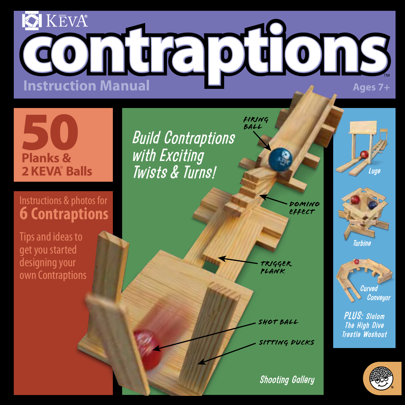# **O** KEVA® **INSTRUCTIONS**<br>Instruction Manual

# **Planks & 2 KEVA**®  **Balls**

### Instructions & photos for **6 Contraptions**

Tips and ideas to get you started designing your own Contraptions *Build Contraptions with Exciting Twists & Turns!*

> *Domino Effect*

*Trigger Plank*

*Firing Ball*

*Shot Ball*

*Sitting Ducks*

**Shooting Gallery** 







*PLUS: Slalom The High Dive Trestle Washout*

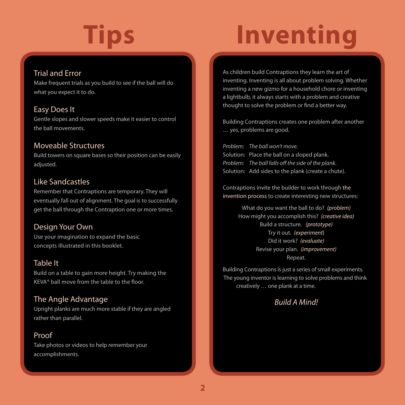## **Tips Inventing**

#### Trial and Error

Make frequent trials as you build to see if the ball will do what you expect it to do.

#### Easy Does It

Gentle slopes and slower speeds make it easier to control the ball movements.

#### Moveable Structures

Build towers on square bases so their position can be easily adjusted.

#### Like Sandcastles

Remember that Contraptions are temporary. They will eventually fall out of alignment. The goal is to successfully get the ball through the Contraption one or more times.

#### Design Your Own

Use your imagination to expand the basic concepts illustrated in this booklet.

#### Table It

Build on a table to gain more height. Try making the KEVA® ball move from the table to the floor.

#### The Angle Advantage

Upright planks are much more stable if they are angled rather than parallel.

#### Proof

Take photos or videos to help remember your accomplishments.

As children build Contraptions they learn the art of inventing. Inventing is all about problem solving. Whether inventing a new gizmo for a household chore or inventing a lightbulb, it always starts with a problem and creative thought to solve the problem or find a better way.

Building Contraptions creates one problem after another … yes, problems are good.

*Problem: The ball won't move.* Solution: Place the ball on a sloped plank. *Problem: The ball falls off the side of the plank.* Solution: Add sides to the plank (create a chute).

Contraptions invite the builder to work through the invention process to create interesting new structures:

> What do you want the ball to do? *(problem)* How might you accomplish this? *(creative idea)* Build a structure. *(prototype)* Try it out. *(experiment*) Did it work? *(evaluate)* Revise your plan. *(improvement)* Repeat.

Building Contraptions is just a series of small experiments. The young inventor is learning to solve problems and think creatively … one plank at a time.

#### *Build A Mind!*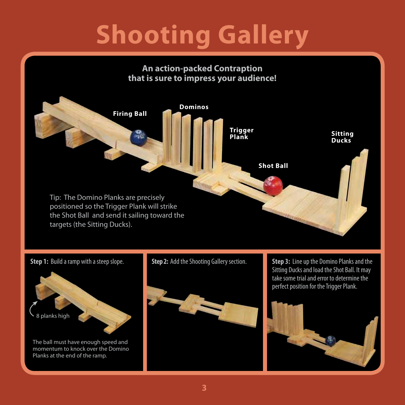## **Shooting Gallery**





**Step 1:** Build a ramp with a steep slope. **Step 2:** Add the Shooting Gallery section.



**Step 3:** Line up the Domino Planks and the Sitting Ducks and load the Shot Ball. It may take some trial and error to determine the perfect position for the Trigger Plank.